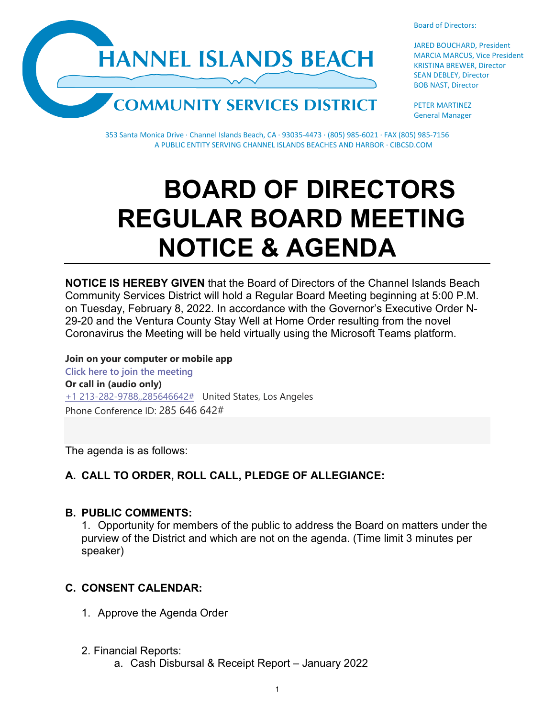



JARED BOUCHARD, President MARCIA MARCUS, Vice President KRISTINA BREWER, Director SEAN DEBLEY, Director BOB NAST, Director

PETER MARTINEZ General Manager

353 Santa Monica Drive · Channel Islands Beach, CA · 93035-4473 · (805) 985-6021 · FAX (805) 985-7156 A PUBLIC ENTITY SERVING CHANNEL ISLANDS BEACHES AND HARBOR · CIBCSD.COM

# **BOARD OF DIRECTORS REGULAR BOARD MEETING NOTICE & AGENDA**

**NOTICE IS HEREBY GIVEN** that the Board of Directors of the Channel Islands Beach Community Services District will hold a Regular Board Meeting beginning at 5:00 P.M. on Tuesday, February 8, 2022. In accordance with the Governor's Executive Order N-29-20 and the Ventura County Stay Well at Home Order resulting from the novel Coronavirus the Meeting will be held virtually using the Microsoft Teams platform.

**Join on your computer or mobile app [Click here to join the meeting](https://teams.microsoft.com/l/meetup-join/19%3ameeting_ZWRiNDcxYmEtZWYxMS00OWJmLThjYTAtYzhjNzQwNmJiNTgz%40thread.v2/0?context=%7b%22Tid%22%3a%22f7fe391d-f807-4915-a885-600f7b21c060%22%2c%22Oid%22%3a%22a1ff9a26-d5c6-43de-8ae2-ea53c9efed90%22%7d) Or call in (audio only)** [+1 213-282-9788,,285646642#](tel:+12132829788,,285646642#%20) United States, Los Angeles Phone Conference ID: 285 646 642#

The agenda is as follows:

## **A. CALL TO ORDER, ROLL CALL, PLEDGE OF ALLEGIANCE:**

#### **B. PUBLIC COMMENTS:**

1. Opportunity for members of the public to address the Board on matters under the purview of the District and which are not on the agenda. (Time limit 3 minutes per speaker)

# **C. CONSENT CALENDAR:**

- 1. Approve the Agenda Order
- 2. Financial Reports:
	- a. Cash Disbursal & Receipt Report January 2022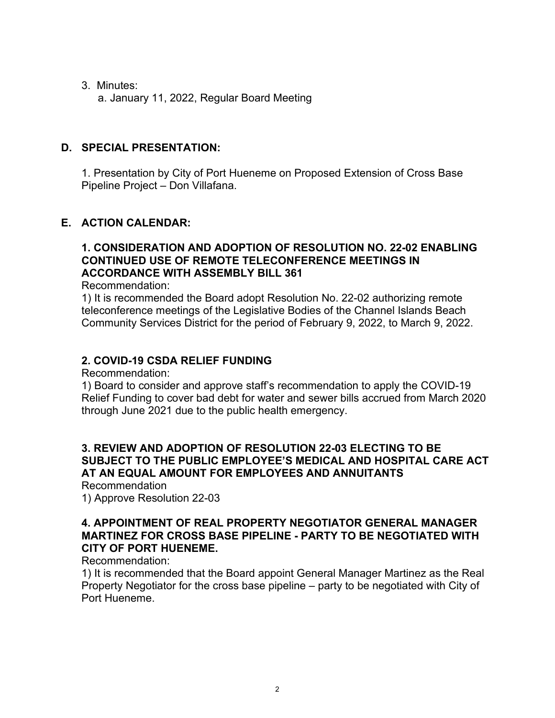3. Minutes:

a. January 11, 2022, Regular Board Meeting

# **D. SPECIAL PRESENTATION:**

1. Presentation by City of Port Hueneme on Proposed Extension of Cross Base Pipeline Project – Don Villafana.

# **E. ACTION CALENDAR:**

# **1. CONSIDERATION AND ADOPTION OF RESOLUTION NO. 22-02 ENABLING CONTINUED USE OF REMOTE TELECONFERENCE MEETINGS IN ACCORDANCE WITH ASSEMBLY BILL 361**

Recommendation:

1) It is recommended the Board adopt Resolution No. 22-02 authorizing remote teleconference meetings of the Legislative Bodies of the Channel Islands Beach Community Services District for the period of February 9, 2022, to March 9, 2022.

# **2. COVID-19 CSDA RELIEF FUNDING**

Recommendation:

1) Board to consider and approve staff's recommendation to apply the COVID-19 Relief Funding to cover bad debt for water and sewer bills accrued from March 2020 through June 2021 due to the public health emergency.

#### **3. REVIEW AND ADOPTION OF RESOLUTION 22-03 ELECTING TO BE SUBJECT TO THE PUBLIC EMPLOYEE'S MEDICAL AND HOSPITAL CARE ACT AT AN EQUAL AMOUNT FOR EMPLOYEES AND ANNUITANTS**

Recommendation 1) Approve Resolution 22-03

## **4. APPOINTMENT OF REAL PROPERTY NEGOTIATOR GENERAL MANAGER MARTINEZ FOR CROSS BASE PIPELINE - PARTY TO BE NEGOTIATED WITH CITY OF PORT HUENEME.**

Recommendation:

1) It is recommended that the Board appoint General Manager Martinez as the Real Property Negotiator for the cross base pipeline – party to be negotiated with City of Port Hueneme.